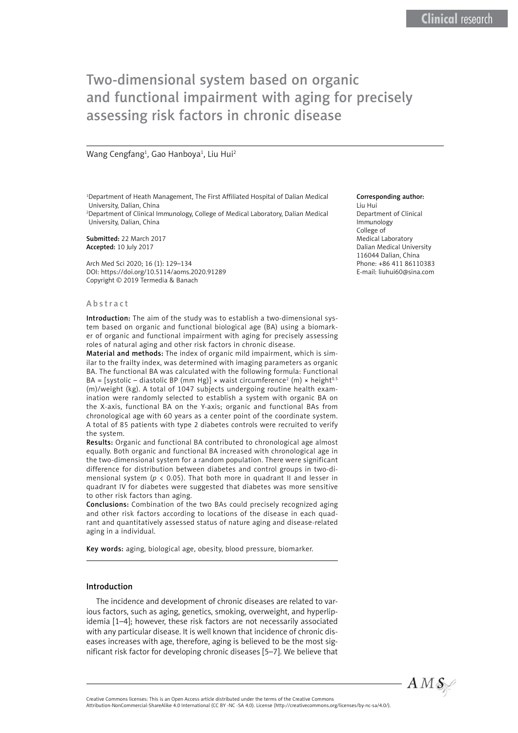# Two-dimensional system based on organic and functional impairment with aging for precisely assessing risk factors in chronic disease

#### Wang Cengfang<sup>1</sup>, Gao Hanboya<sup>1</sup>, Liu Hui<sup>2</sup>

<sup>1</sup>Department of Heath Management, The First Affiliated Hospital of Dalian Medical University, Dalian, China

2 Department of Clinical Immunology, College of Medical Laboratory, Dalian Medical University, Dalian, China

Submitted: 22 March 2017 Accepted: 10 July 2017

Arch Med Sci 2020; 16 (1): 129–134 DOI: https://doi.org/10.5114/aoms.2020.91289 Copyright © 2019 Termedia & Banach

#### Abstract

Introduction: The aim of the study was to establish a two-dimensional system based on organic and functional biological age (BA) using a biomarker of organic and functional impairment with aging for precisely assessing roles of natural aging and other risk factors in chronic disease.

Material and methods: The index of organic mild impairment, which is similar to the frailty index, was determined with imaging parameters as organic BA. The functional BA was calculated with the following formula: Functional BA = [systolic – diastolic BP (mm Hg)] × waist circumference<sup>2</sup> (m) × height<sup>0.5</sup> (m)/weight (kg). A total of 1047 subjects undergoing routine health examination were randomly selected to establish a system with organic BA on the X-axis, functional BA on the Y-axis; organic and functional BAs from chronological age with 60 years as a center point of the coordinate system. A total of 85 patients with type 2 diabetes controls were recruited to verify the system.

Results: Organic and functional BA contributed to chronological age almost equally. Both organic and functional BA increased with chronological age in the two-dimensional system for a random population. There were significant difference for distribution between diabetes and control groups in two-dimensional system ( $p < 0.05$ ). That both more in quadrant II and lesser in quadrant IV for diabetes were suggested that diabetes was more sensitive to other risk factors than aging.

Conclusions: Combination of the two BAs could precisely recognized aging and other risk factors according to locations of the disease in each quadrant and quantitatively assessed status of nature aging and disease-related aging in a individual.

Key words: aging, biological age, obesity, blood pressure, biomarker.

### Introduction

The incidence and development of chronic diseases are related to various factors, such as aging, genetics, smoking, overweight, and hyperlipidemia [1–4]; however, these risk factors are not necessarily associated with any particular disease. It is well known that incidence of chronic diseases increases with age, therefore, aging is believed to be the most significant risk factor for developing chronic diseases [5–7]. We believe that

#### Corresponding author:

Liu Hui Department of Clinical Immunology College of Medical Laboratory Dalian Medical University 116044 Dalian, China Phone: +86 411 86110383 E-mail: liuhui60@sina.com



Attribution-NonCommercial-ShareAlike 4.0 International (CC BY -NC -SA 4.0). License (http://creativecommons.org/licenses/by-nc-sa/4.0/).

Creative Commons licenses: This is an Open Access article distributed under the terms of the Creative Commons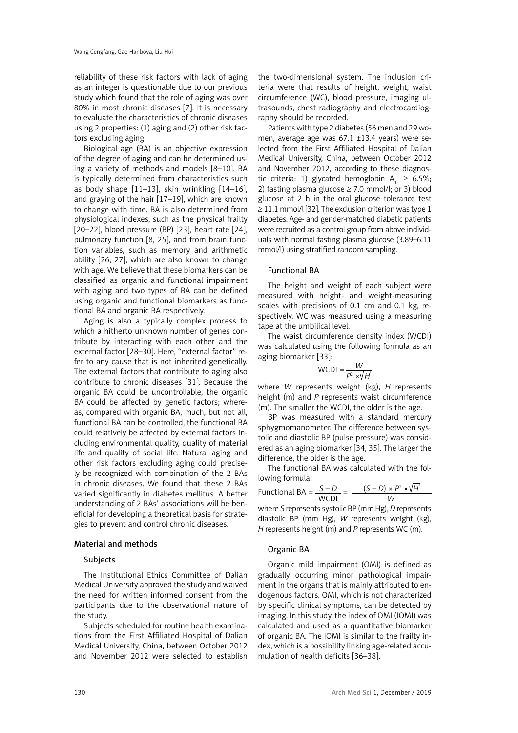reliability of these risk factors with lack of aging as an integer is questionable due to our previous study which found that the role of aging was over 80% in most chronic diseases [7]. It is necessary to evaluate the characteristics of chronic diseases using 2 properties: (1) aging and (2) other risk factors excluding aging.

Biological age (BA) is an objective expression of the degree of aging and can be determined using a variety of methods and models [8–10]. BA is typically determined from characteristics such as body shape [11–13], skin wrinkling [14–16], and graying of the hair [17–19], which are known to change with time. BA is also determined from physiological indexes, such as the physical frailty [20–22], blood pressure (BP) [23], heart rate [24], pulmonary function [8, 25], and from brain function variables, such as memory and arithmetic ability [26, 27], which are also known to change with age. We believe that these biomarkers can be classified as organic and functional impairment with aging and two types of BA can be defined using organic and functional biomarkers as functional BA and organic BA respectively.

Aging is also a typically complex process to which a hitherto unknown number of genes contribute by interacting with each other and the external factor [28–30]. Here, "external factor" refer to any cause that is not inherited genetically. The external factors that contribute to aging also contribute to chronic diseases [31]. Because the organic BA could be uncontrollable, the organic BA could be affected by genetic factors; whereas, compared with organic BA, much, but not all, functional BA can be controlled, the functional BA could relatively be affected by external factors including environmental quality, quality of material life and quality of social life. Natural aging and other risk factors excluding aging could precisely be recognized with combination of the 2 BAs in chronic diseases. We found that these 2 BAs varied significantly in diabetes mellitus. A better understanding of 2 BAs' associations will be beneficial for developing a theoretical basis for strategies to prevent and control chronic diseases.

# Material and methods

#### **Subjects**

The Institutional Ethics Committee of Dalian Medical University approved the study and waived the need for written informed consent from the participants due to the observational nature of the study.

Subjects scheduled for routine health examinations from the First Affiliated Hospital of Dalian Medical University, China, between October 2012 and November 2012 were selected to establish the two-dimensional system. The inclusion criteria were that results of height, weight, waist circumference (WC), blood pressure, imaging ultrasounds, chest radiography and electrocardiography should be recorded.

Patients with type 2 diabetes (56 men and 29 women, average age was 67.1 ±13.4 years) were selected from the First Affiliated Hospital of Dalian Medical University, China, between October 2012 and November 2012, according to these diagnostic criteria: 1) glycated hemoglobin  $A_{1c} \geq 6.5\%$ ; 2) fasting plasma glucose  $\geq$  7.0 mmol/l; or 3) blood glucose at 2 h in the oral glucose tolerance test  $\geq$  11.1 mmol/l [32]. The exclusion criterion was type 1 diabetes. Age- and gender-matched diabetic patients were recruited as a control group from above individuals with normal fasting plasma glucose (3.89–6.11 mmol/l) using stratified random sampling.

### Functional BA

The height and weight of each subject were measured with height- and weight-measuring scales with precisions of 0.1 cm and 0.1 kg, respectively. WC was measured using a measuring tape at the umbilical level.

The waist circumference density index (WCDI) was calculated using the following formula as an aging biomarker [33]:

WCDI = 
$$
\frac{W}{P^2 \times \sqrt{H}}
$$

where *W* represents weight (kg), *H* represents height (m) and *P* represents waist circumference (m). The smaller the WCDI, the older is the age.

BP was measured with a standard mercury sphygmomanometer. The difference between systolic and diastolic BP (pulse pressure) was considered as an aging biomarker [34, 35]. The larger the difference, the older is the age.

The functional BA was calculated with the following formula:

$$
Functional BA = \frac{S - D}{WCDI} = \frac{(S - D) \times P^2 \times \sqrt{H}}{W}
$$

where *S* represents systolic BP (mm Hg), *D* represents diastolic BP (mm Hg), *W* represents weight (kg), *H* represents height (m) and *P* represents WC (m).

# Organic BA

Organic mild impairment (OMI) is defined as gradually occurring minor pathological impairment in the organs that is mainly attributed to endogenous factors. OMI, which is not characterized by specific clinical symptoms, can be detected by imaging. In this study, the index of OMI (IOMI) was calculated and used as a quantitative biomarker of organic BA. The IOMI is similar to the frailty index, which is a possibility linking age-related accumulation of health deficits [36–38].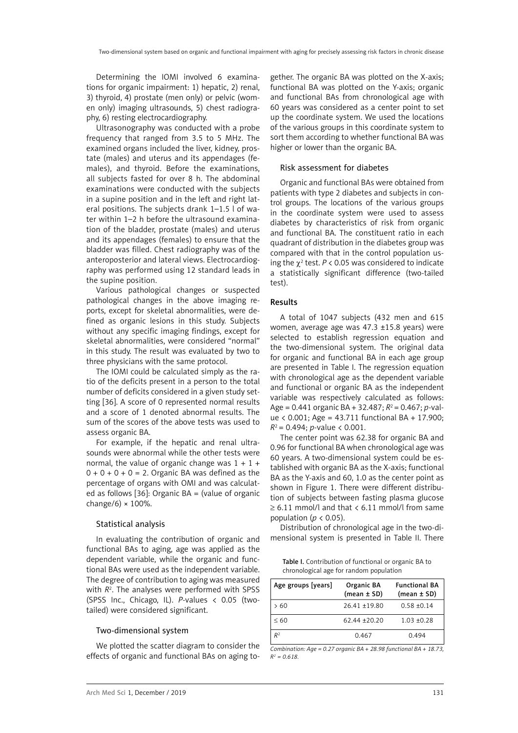Determining the IOMI involved 6 examinations for organic impairment: 1) hepatic, 2) renal, 3) thyroid, 4) prostate (men only) or pelvic (women only) imaging ultrasounds, 5) chest radiography, 6) resting electrocardiography.

Ultrasonography was conducted with a probe frequency that ranged from 3.5 to 5 MHz. The examined organs included the liver, kidney, prostate (males) and uterus and its appendages (females), and thyroid. Before the examinations, all subjects fasted for over 8 h. The abdominal examinations were conducted with the subjects in a supine position and in the left and right lateral positions. The subjects drank 1–1.5 l of water within 1–2 h before the ultrasound examination of the bladder, prostate (males) and uterus and its appendages (females) to ensure that the bladder was filled. Chest radiography was of the anteroposterior and lateral views. Electrocardiography was performed using 12 standard leads in the supine position.

Various pathological changes or suspected pathological changes in the above imaging reports, except for skeletal abnormalities, were defined as organic lesions in this study. Subjects without any specific imaging findings, except for skeletal abnormalities, were considered "normal" in this study. The result was evaluated by two to three physicians with the same protocol.

The IOMI could be calculated simply as the ratio of the deficits present in a person to the total number of deficits considered in a given study setting [36]. A score of 0 represented normal results and a score of 1 denoted abnormal results. The sum of the scores of the above tests was used to assess organic BA.

For example, if the hepatic and renal ultrasounds were abnormal while the other tests were normal, the value of organic change was  $1 + 1 +$  $0 + 0 + 0 + 0 = 2$ . Organic BA was defined as the percentage of organs with OMI and was calculated as follows [36]: Organic BA = (value of organic change/6)  $\times$  100%.

# Statistical analysis

In evaluating the contribution of organic and functional BAs to aging, age was applied as the dependent variable, while the organic and functional BAs were used as the independent variable. The degree of contribution to aging was measured with *R*<sup>2</sup> . The analyses were performed with SPSS (SPSS Inc., Chicago, IL). *P*-values < 0.05 (twotailed) were considered significant.

# Two-dimensional system

We plotted the scatter diagram to consider the effects of organic and functional BAs on aging to-

gether. The organic BA was plotted on the X-axis; functional BA was plotted on the Y-axis; organic and functional BAs from chronological age with 60 years was considered as a center point to set up the coordinate system. We used the locations of the various groups in this coordinate system to sort them according to whether functional BA was higher or lower than the organic BA.

## Risk assessment for diabetes

Organic and functional BAs were obtained from patients with type 2 diabetes and subjects in control groups. The locations of the various groups in the coordinate system were used to assess diabetes by characteristics of risk from organic and functional BA. The constituent ratio in each quadrant of distribution in the diabetes group was compared with that in the control population using the  $\chi^2$  test.  $P < 0.05$  was considered to indicate a statistically significant difference (two-tailed test).

#### Results

A total of 1047 subjects (432 men and 615 women, average age was 47.3 ±15.8 years) were selected to establish regression equation and the two-dimensional system. The original data for organic and functional BA in each age group are presented in Table I. The regression equation with chronological age as the dependent variable and functional or organic BA as the independent variable was respectively calculated as follows: Age = 0.441 organic BA + 32.487;  $R^2$  = 0.467; *p*-value < 0.001; Age = 43.711 functional BA + 17.900; *R*2 = 0.494; *p*-value < 0.001.

The center point was 62.38 for organic BA and 0.96 for functional BA when chronological age was 60 years. A two-dimensional system could be established with organic BA as the X-axis; functional BA as the Y-axis and 60, 1.0 as the center point as shown in Figure 1. There were different distribution of subjects between fasting plasma glucose  $\geq$  6.11 mmol/l and that < 6.11 mmol/l from same population ( $p < 0.05$ ).

Distribution of chronological age in the two-dimensional system is presented in Table II. There

Table I. Contribution of functional or organic BA to chronological age for random population

| Age groups [years] | Organic BA<br>$(mean \pm SD)$ | <b>Functional BA</b><br>$(mean \pm SD)$ |
|--------------------|-------------------------------|-----------------------------------------|
| > 60               | 26.41 +19.80                  | $0.58 + 0.14$                           |
| <60                | $62.44 + 20.20$               | $1.03 + 0.28$                           |
| $R^2$              | 0.467                         | 0.494                                   |

*Combination: Age = 0.27 organic BA + 28.98 functional BA + 18.73,*   $R^2 = 0.618$ .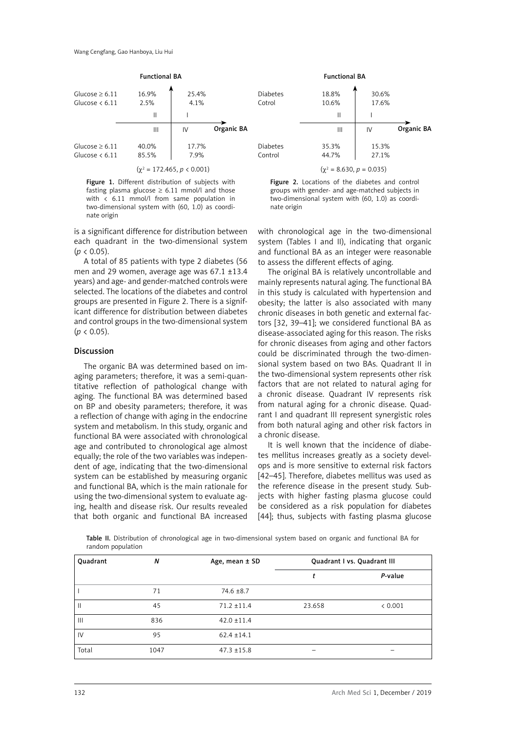

nate origin

Figure 1. Different distribution of subjects with fasting plasma glucose  $\geq 6.11$  mmol/l and those with < 6.11 mmol/l from same population in two-dimensional system with (60, 1.0) as coordinate origin

is a significant difference for distribution between each quadrant in the two-dimensional system  $(p < 0.05)$ .

A total of 85 patients with type 2 diabetes (56 men and 29 women, average age was 67.1 ±13.4 years) and age- and gender-matched controls were selected. The locations of the diabetes and control groups are presented in Figure 2. There is a significant difference for distribution between diabetes and control groups in the two-dimensional system  $(p < 0.05)$ .

#### Discussion

The organic BA was determined based on imaging parameters; therefore, it was a semi-quantitative reflection of pathological change with aging. The functional BA was determined based on BP and obesity parameters; therefore, it was a reflection of change with aging in the endocrine system and metabolism. In this study, organic and functional BA were associated with chronological age and contributed to chronological age almost equally; the role of the two variables was independent of age, indicating that the two-dimensional system can be established by measuring organic and functional BA, which is the main rationale for using the two-dimensional system to evaluate aging, health and disease risk. Our results revealed that both organic and functional BA increased

with chronological age in the two-dimensional system (Tables I and II), indicating that organic

Figure 2. Locations of the diabetes and control groups with gender- and age-matched subjects in two-dimensional system with (60, 1.0) as coordi-

and functional BA as an integer were reasonable

to assess the different effects of aging. The original BA is relatively uncontrollable and mainly represents natural aging. The functional BA in this study is calculated with hypertension and obesity; the latter is also associated with many chronic diseases in both genetic and external factors [32, 39–41]; we considered functional BA as disease-associated aging for this reason. The risks for chronic diseases from aging and other factors could be discriminated through the two-dimensional system based on two BAs. Quadrant II in the two-dimensional system represents other risk factors that are not related to natural aging for a chronic disease. Quadrant IV represents risk from natural aging for a chronic disease. Quadrant I and quadrant III represent synergistic roles from both natural aging and other risk factors in a chronic disease.

It is well known that the incidence of diabetes mellitus increases greatly as a society develops and is more sensitive to external risk factors [42–45]. Therefore, diabetes mellitus was used as the reference disease in the present study. Subjects with higher fasting plasma glucose could be considered as a risk population for diabetes [44]; thus, subjects with fasting plasma glucose

Table II. Distribution of chronological age in two-dimensional system based on organic and functional BA for random population

| Quadrant       | N    | Age, mean $\pm$ SD | Quadrant I vs. Quadrant III |         |
|----------------|------|--------------------|-----------------------------|---------|
|                |      |                    |                             | P-value |
|                | 71   | $74.6 \pm 8.7$     |                             |         |
| Ш              | 45   | $71.2 \pm 11.4$    | 23.658                      | < 0.001 |
| $\mathbf{III}$ | 836  | $42.0 \pm 11.4$    |                             |         |
| $\mathsf{IV}$  | 95   | $62.4 \pm 14.1$    |                             |         |
| Total          | 1047 | $47.3 \pm 15.8$    |                             |         |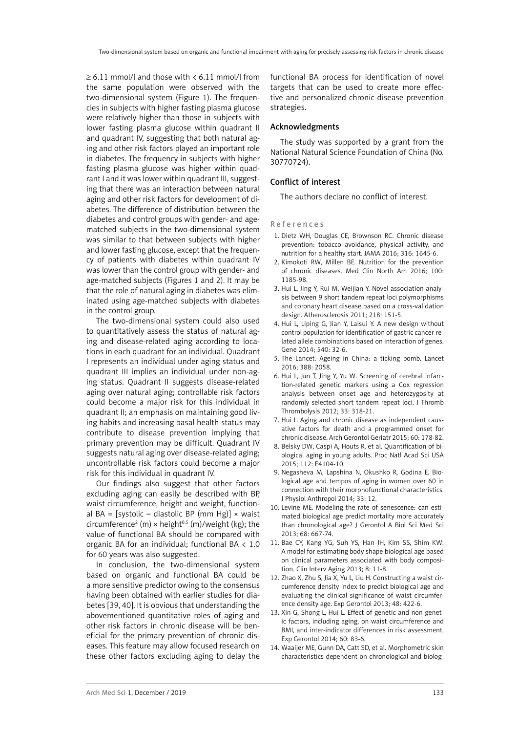$\geq$  6.11 mmol/l and those with  $\lt$  6.11 mmol/l from the same population were observed with the two-dimensional system (Figure 1). The frequencies in subjects with higher fasting plasma glucose were relatively higher than those in subjects with lower fasting plasma glucose within quadrant II and quadrant IV, suggesting that both natural aging and other risk factors played an important role in diabetes. The frequency in subjects with higher fasting plasma glucose was higher within quadrant I and it was lower within quadrant III, suggesting that there was an interaction between natural aging and other risk factors for development of diabetes. The difference of distribution between the diabetes and control groups with gender- and agematched subjects in the two-dimensional system was similar to that between subjects with higher and lower fasting glucose, except that the frequency of patients with diabetes within quadrant IV was lower than the control group with gender- and age-matched subjects (Figures 1 and 2). It may be that the role of natural aging in diabetes was eliminated using age-matched subjects with diabetes in the control group.

The two-dimensional system could also used to quantitatively assess the status of natural aging and disease-related aging according to locations in each quadrant for an individual. Quadrant I represents an individual under aging status and quadrant III implies an individual under non-aging status. Quadrant II suggests disease-related aging over natural aging; controllable risk factors could become a major risk for this individual in quadrant II; an emphasis on maintaining good living habits and increasing basal health status may contribute to disease prevention implying that primary prevention may be difficult. Quadrant IV suggests natural aging over disease-related aging; uncontrollable risk factors could become a major risk for this individual in quadrant IV.

Our findings also suggest that other factors excluding aging can easily be described with BP, waist circumference, height and weight, functional BA = [systolic – diastolic BP (mm Hg)]  $\times$  waist circumference<sup>2</sup> (m)  $\times$  height<sup>0.5</sup> (m)/weight (kg); the value of functional BA should be compared with organic BA for an individual; functional BA < 1.0 for 60 years was also suggested.

In conclusion, the two-dimensional system based on organic and functional BA could be a more sensitive predictor owing to the consensus having been obtained with earlier studies for diabetes [39, 40]. It is obvious that understanding the abovementioned quantitative roles of aging and other risk factors in chronic disease will be beneficial for the primary prevention of chronic diseases. This feature may allow focused research on these other factors excluding aging to delay the

functional BA process for identification of novel targets that can be used to create more effective and personalized chronic disease prevention strategies.

### Acknowledgments

The study was supported by a grant from the National Natural Science Foundation of China (No. 30770724).

# Conflict of interest

The authors declare no conflict of interest.

#### References

- 1. Dietz WH, Douglas CE, Brownson RC. Chronic disease prevention: tobacco avoidance, physical activity, and nutrition for a healthy start. JAMA 2016; 316: 1645-6.
- 2. Kimokoti RW, Millen BE. Nutrition for the prevention of chronic diseases. Med Clin North Am 2016; 100: 1185-98.
- 3. Hui L, Jing Y, Rui M, Weijian Y. Novel association analysis between 9 short tandem repeat loci polymorphisms and coronary heart disease based on a cross-validation design. Atherosclerosis 2011; 218: 151-5.
- 4. Hui L, Liping G, Jian Y, Laisui Y. A new design without control population for identification of gastric cancer-related allele combinations based on interaction of genes. Gene 2014; 540: 32-6.
- 5. The Lancet. Ageing in China: a ticking bomb. Lancet 2016; 388: 2058.
- 6. Hui L, Jun T, Jing Y, Yu W. Screening of cerebral infarction-related genetic markers using a Cox regression analysis between onset age and heterozygosity at randomly selected short tandem repeat loci. J Thromb Thrombolysis 2012; 33: 318-21.
- 7. Hui L. Aging and chronic disease as independent causative factors for death and a programmed onset for chronic disease. Arch Gerontol Geriatr 2015; 60: 178-82.
- 8. Belsky DW, Caspi A, Houts R, et al. Quantification of biological aging in young adults. Proc Natl Acad Sci USA 2015; 112: E4104-10.
- 9. Negasheva M, Lapshina N, Okushko R, Godina E. Biological age and tempos of aging in women over 60 in connection with their morphofunctional characteristics. J Physiol Anthropol 2014; 33: 12.
- 10. Levine ME. Modeling the rate of senescence: can estimated biological age predict mortality more accurately than chronological age? J Gerontol A Biol Sci Med Sci 2013; 68: 667-74.
- 11. Bae CY, Kang YG, Suh YS, Han JH, Kim SS, Shim KW. A model for estimating body shape biological age based on clinical parameters associated with body composition. Clin Interv Aging 2013; 8: 11-8.
- 12. Zhao X, Zhu S, Jia X, Yu L, Liu H. Constructing a waist circumference density index to predict biological age and evaluating the clinical significance of waist circumference density age. Exp Gerontol 2013; 48: 422-6.
- 13. Xin G, Shong L, Hui L. Effect of genetic and non-genetic factors, including aging, on waist circumference and BMI, and inter-indicator differences in risk assessment. Exp Gerontol 2014; 60: 83-6.
- 14. Waaijer ME, Gunn DA, Catt SD, et al. Morphometric skin characteristics dependent on chronological and biolog-